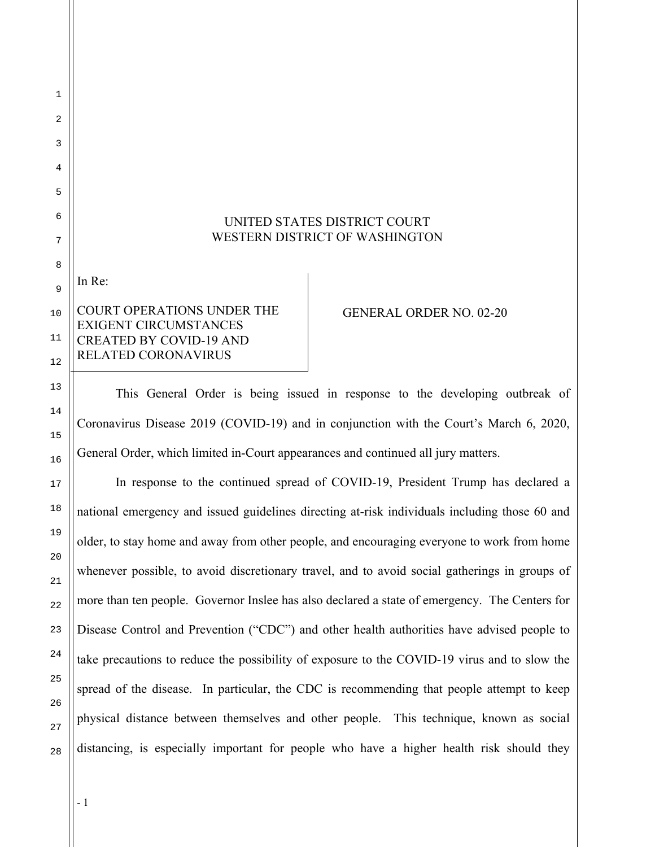## UNITED STATES DISTRICT COURT WESTERN DISTRICT OF WASHINGTON

COURT OPERATIONS UNDER THE EXIGENT CIRCUMSTANCES CREATED BY COVID-19 AND RELATED CORONAVIRUS

## GENERAL ORDER NO. 02-20

This General Order is being issued in response to the developing outbreak of Coronavirus Disease 2019 (COVID-19) and in conjunction with the Court's March 6, 2020, General Order, which limited in-Court appearances and continued all jury matters.

In response to the continued spread of COVID-19, President Trump has declared a national emergency and issued guidelines directing at-risk individuals including those 60 and older, to stay home and away from other people, and encouraging everyone to work from home whenever possible, to avoid discretionary travel, and to avoid social gatherings in groups of more than ten people. Governor Inslee has also declared a state of emergency. The Centers for Disease Control and Prevention ("CDC") and other health authorities have advised people to take precautions to reduce the possibility of exposure to the COVID-19 virus and to slow the spread of the disease. In particular, the CDC is recommending that people attempt to keep physical distance between themselves and other people. This technique, known as social distancing, is especially important for people who have a higher health risk should they

1

2

3

In Re: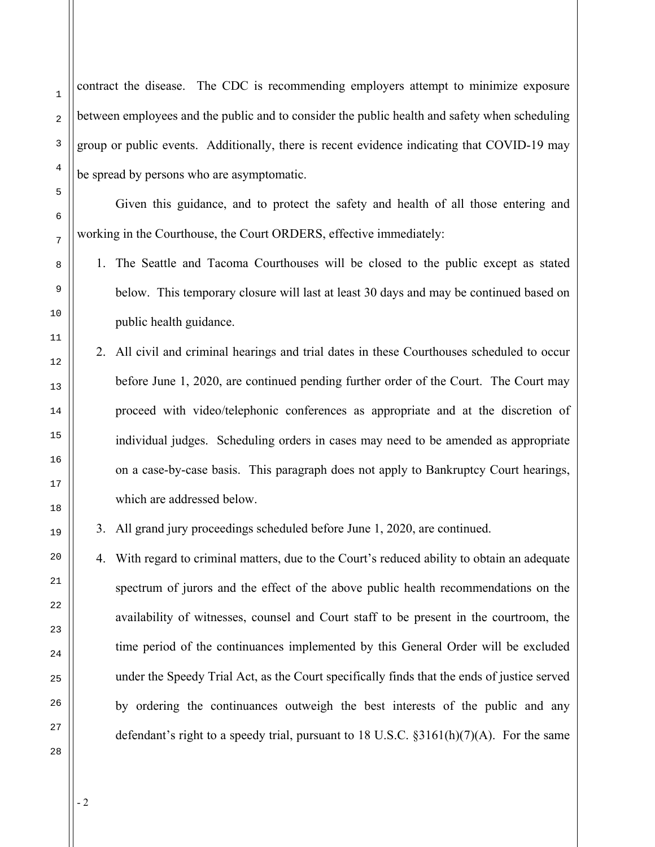contract the disease. The CDC is recommending employers attempt to minimize exposure between employees and the public and to consider the public health and safety when scheduling group or public events. Additionally, there is recent evidence indicating that COVID-19 may be spread by persons who are asymptomatic.

Given this guidance, and to protect the safety and health of all those entering and working in the Courthouse, the Court ORDERS, effective immediately:

1. The Seattle and Tacoma Courthouses will be closed to the public except as stated below. This temporary closure will last at least 30 days and may be continued based on public health guidance.

2. All civil and criminal hearings and trial dates in these Courthouses scheduled to occur before June 1, 2020, are continued pending further order of the Court. The Court may proceed with video/telephonic conferences as appropriate and at the discretion of individual judges. Scheduling orders in cases may need to be amended as appropriate on a case-by-case basis. This paragraph does not apply to Bankruptcy Court hearings, which are addressed below.

3. All grand jury proceedings scheduled before June 1, 2020, are continued.

4. With regard to criminal matters, due to the Court's reduced ability to obtain an adequate spectrum of jurors and the effect of the above public health recommendations on the availability of witnesses, counsel and Court staff to be present in the courtroom, the time period of the continuances implemented by this General Order will be excluded under the Speedy Trial Act, as the Court specifically finds that the ends of justice served by ordering the continuances outweigh the best interests of the public and any defendant's right to a speedy trial, pursuant to 18 U.S.C.  $\S3161(h)(7)(A)$ . For the same

1

- 2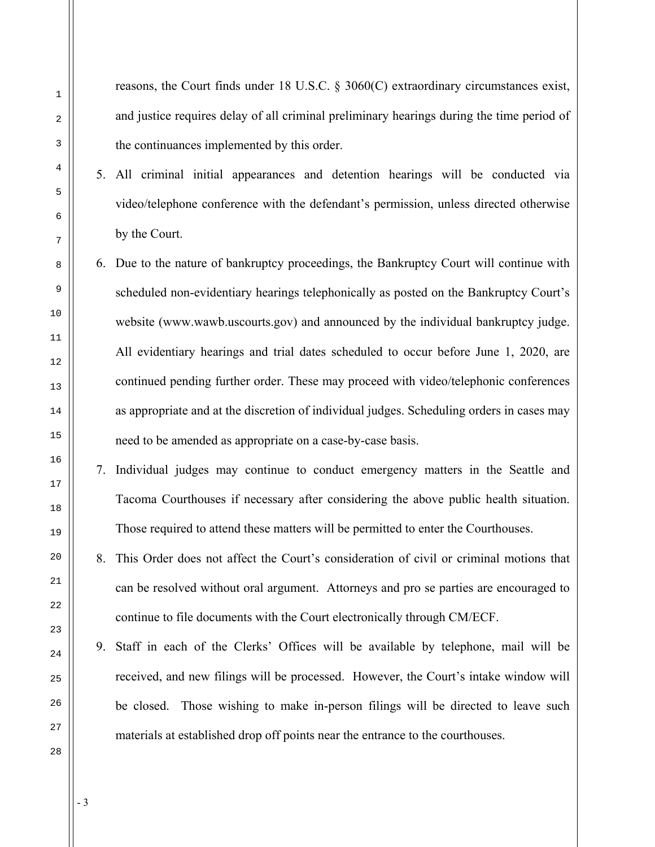reasons, the Court finds under 18 U.S.C. § 3060(C) extraordinary circumstances exist, and justice requires delay of all criminal preliminary hearings during the time period of the continuances implemented by this order.

- 5. All criminal initial appearances and detention hearings will be conducted via video/telephone conference with the defendant's permission, unless directed otherwise by the Court.
- 6. Due to the nature of bankruptcy proceedings, the Bankruptcy Court will continue with scheduled non-evidentiary hearings telephonically as posted on the Bankruptcy Court's website (www.wawb.uscourts.gov) and announced by the individual bankruptcy judge. All evidentiary hearings and trial dates scheduled to occur before June 1, 2020, are continued pending further order. These may proceed with video/telephonic conferences as appropriate and at the discretion of individual judges. Scheduling orders in cases may need to be amended as appropriate on a case-by-case basis.
- 7. Individual judges may continue to conduct emergency matters in the Seattle and Tacoma Courthouses if necessary after considering the above public health situation. Those required to attend these matters will be permitted to enter the Courthouses.
- 8. This Order does not affect the Court's consideration of civil or criminal motions that can be resolved without oral argument. Attorneys and pro se parties are encouraged to continue to file documents with the Court electronically through CM/ECF.
	- 9. Staff in each of the Clerks' Offices will be available by telephone, mail will be received, and new filings will be processed. However, the Court's intake window will be closed. Those wishing to make in-person filings will be directed to leave such materials at established drop off points near the entrance to the courthouses.

- 3